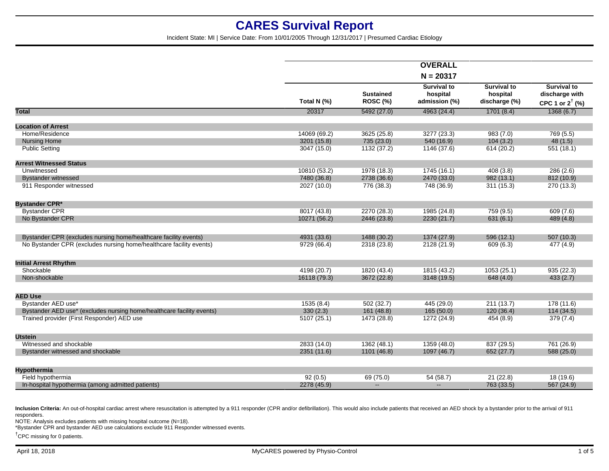Incident State: MI | Service Date: From 10/01/2005 Through 12/31/2017 | Presumed Cardiac Etiology

|                                                                       |              |                                     | <b>OVERALL</b>                                  |                                                 |                                                                    |
|-----------------------------------------------------------------------|--------------|-------------------------------------|-------------------------------------------------|-------------------------------------------------|--------------------------------------------------------------------|
|                                                                       |              |                                     | $N = 20317$                                     |                                                 |                                                                    |
|                                                                       | Total N (%)  | <b>Sustained</b><br><b>ROSC (%)</b> | <b>Survival to</b><br>hospital<br>admission (%) | <b>Survival to</b><br>hospital<br>discharge (%) | <b>Survival to</b><br>discharge with<br>CPC 1 or $2^{\dagger}$ (%) |
| <b>Total</b>                                                          | 20317        | 5492 (27.0)                         | 4963 (24.4)                                     | 1701(8.4)                                       | 1368(6.7)                                                          |
| <b>Location of Arrest</b>                                             |              |                                     |                                                 |                                                 |                                                                    |
| Home/Residence                                                        | 14069 (69.2) | 3625 (25.8)                         | 3277 (23.3)                                     | 983(7.0)                                        | 769 (5.5)                                                          |
| <b>Nursing Home</b>                                                   | 3201 (15.8)  | 735 (23.0)                          | 540 (16.9)                                      | 104(3.2)                                        | 48(1.5)                                                            |
| <b>Public Setting</b>                                                 | 3047 (15.0)  | 1132 (37.2)                         | 1146 (37.6)                                     | 614 (20.2)                                      | 551 (18.1)                                                         |
| <b>Arrest Witnessed Status</b>                                        |              |                                     |                                                 |                                                 |                                                                    |
| Unwitnessed                                                           | 10810 (53.2) | 1978 (18.3)                         | 1745 (16.1)                                     | 408(3.8)                                        | 286(2.6)                                                           |
| <b>Bystander witnessed</b>                                            | 7480 (36.8)  | 2738 (36.6)                         | 2470 (33.0)                                     | 982 (13.1)                                      | 812 (10.9)                                                         |
| 911 Responder witnessed                                               | 2027 (10.0)  | 776 (38.3)                          | 748 (36.9)                                      | 311(15.3)                                       | 270 (13.3)                                                         |
| <b>Bystander CPR*</b>                                                 |              |                                     |                                                 |                                                 |                                                                    |
| <b>Bystander CPR</b>                                                  | 8017 (43.8)  | 2270 (28.3)                         | 1985 (24.8)                                     | 759 (9.5)                                       | 609(7.6)                                                           |
| No Bystander CPR                                                      | 10271 (56.2) | 2446 (23.8)                         | 2230 (21.7)                                     | 631(6.1)                                        | 489 (4.8)                                                          |
| Bystander CPR (excludes nursing home/healthcare facility events)      | 4931 (33.6)  | 1488 (30.2)                         | 1374 (27.9)                                     | 596 (12.1)                                      | 507(10.3)                                                          |
| No Bystander CPR (excludes nursing home/healthcare facility events)   | 9729 (66.4)  | 2318 (23.8)                         | 2128 (21.9)                                     | 609 (6.3)                                       | 477 (4.9)                                                          |
| <b>Initial Arrest Rhythm</b>                                          |              |                                     |                                                 |                                                 |                                                                    |
| Shockable                                                             | 4198 (20.7)  | 1820 (43.4)                         | 1815 (43.2)                                     | 1053(25.1)                                      | 935(22.3)                                                          |
| Non-shockable                                                         | 16118 (79.3) | 3672 (22.8)                         | 3148 (19.5)                                     | 648 (4.0)                                       | 433(2.7)                                                           |
| <b>AED Use</b>                                                        |              |                                     |                                                 |                                                 |                                                                    |
| Bystander AED use*                                                    | 1535(8.4)    | 502 (32.7)                          | 445 (29.0)                                      | 211(13.7)                                       | 178(11.6)                                                          |
| Bystander AED use* (excludes nursing home/healthcare facility events) | 330(2.3)     | 161 (48.8)                          | 165(50.0)                                       | 120(36.4)                                       | 114(34.5)                                                          |
| Trained provider (First Responder) AED use                            | 5107(25.1)   | 1473 (28.8)                         | 1272 (24.9)                                     | 454 (8.9)                                       | 379 (7.4)                                                          |
| <b>Utstein</b>                                                        |              |                                     |                                                 |                                                 |                                                                    |
| Witnessed and shockable                                               | 2833 (14.0)  | 1362 (48.1)                         | 1359 (48.0)                                     | 837 (29.5)                                      | 761 (26.9)                                                         |
| Bystander witnessed and shockable                                     | 2351 (11.6)  | 1101 (46.8)                         | 1097 (46.7)                                     | 652 (27.7)                                      | 588 (25.0)                                                         |
| Hypothermia                                                           |              |                                     |                                                 |                                                 |                                                                    |
| Field hypothermia                                                     | 92(0.5)      | 69 (75.0)                           | 54 (58.7)                                       | 21(22.8)                                        | 18(19.6)                                                           |
| In-hospital hypothermia (among admitted patients)                     | 2278 (45.9)  | $\overline{a}$                      | $-$                                             | 763 (33.5)                                      | 567 (24.9)                                                         |

Inclusion Criteria: An out-of-hospital cardiac arrest where resuscitation is attempted by a 911 responder (CPR and/or defibrillation). This would also include patients that received an AED shock by a bystander prior to the responders.

NOTE: Analysis excludes patients with missing hospital outcome (N=18).

\*Bystander CPR and bystander AED use calculations exclude 911 Responder witnessed events.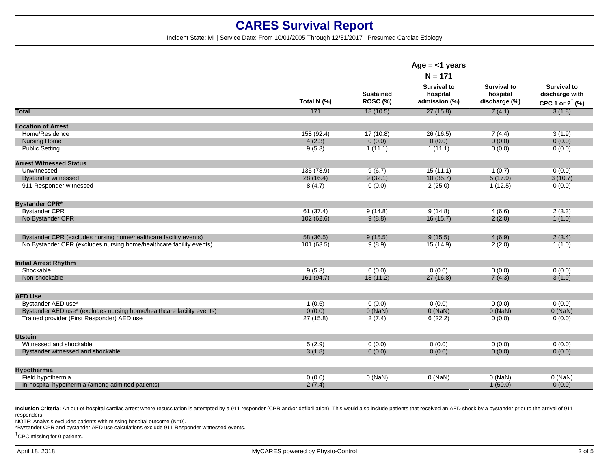Incident State: MI | Service Date: From 10/01/2005 Through 12/31/2017 | Presumed Cardiac Etiology

|                                                                       | Age = $\leq$ 1 years<br>$N = 171$ |                                     |                                                 |                                                 |                                                                    |
|-----------------------------------------------------------------------|-----------------------------------|-------------------------------------|-------------------------------------------------|-------------------------------------------------|--------------------------------------------------------------------|
|                                                                       | Total N (%)                       | <b>Sustained</b><br><b>ROSC (%)</b> | <b>Survival to</b><br>hospital<br>admission (%) | <b>Survival to</b><br>hospital<br>discharge (%) | <b>Survival to</b><br>discharge with<br>CPC 1 or $2^{\dagger}$ (%) |
| <b>Total</b>                                                          | 171                               | 18(10.5)                            | 27(15.8)                                        | 7(4.1)                                          | 3(1.8)                                                             |
| <b>Location of Arrest</b>                                             |                                   |                                     |                                                 |                                                 |                                                                    |
| Home/Residence                                                        | 158 (92.4)                        | 17(10.8)                            | 26 (16.5)                                       | 7(4.4)                                          | 3(1.9)                                                             |
| <b>Nursing Home</b>                                                   | 4(2.3)                            | 0(0.0)                              | 0(0.0)                                          | 0(0.0)                                          | 0(0.0)                                                             |
| <b>Public Setting</b>                                                 | 9(5.3)                            | 1(11.1)                             | 1(11.1)                                         | 0(0.0)                                          | 0(0.0)                                                             |
| <b>Arrest Witnessed Status</b>                                        |                                   |                                     |                                                 |                                                 |                                                                    |
| Unwitnessed                                                           | 135 (78.9)                        | 9(6.7)                              | 15(11.1)                                        | 1(0.7)                                          | 0(0.0)                                                             |
| <b>Bystander witnessed</b>                                            | 28 (16.4)                         | 9(32.1)                             | 10(35.7)                                        | 5(17.9)                                         | 3(10.7)                                                            |
| 911 Responder witnessed                                               | 8(4.7)                            | 0(0.0)                              | 2(25.0)                                         | 1(12.5)                                         | 0(0.0)                                                             |
| <b>Bystander CPR*</b>                                                 |                                   |                                     |                                                 |                                                 |                                                                    |
| <b>Bystander CPR</b>                                                  | 61(37.4)                          | 9(14.8)                             | 9(14.8)                                         | 4(6.6)                                          | 2(3.3)                                                             |
| No Bystander CPR                                                      | 102(62.6)                         | 9(8.8)                              | 16(15.7)                                        | 2(2.0)                                          | 1(1.0)                                                             |
| Bystander CPR (excludes nursing home/healthcare facility events)      | 58 (36.5)                         | 9(15.5)                             | 9(15.5)                                         | 4(6.9)                                          | 2(3.4)                                                             |
| No Bystander CPR (excludes nursing home/healthcare facility events)   | 101(63.5)                         | 9(8.9)                              | 15(14.9)                                        | 2(2.0)                                          | 1(1.0)                                                             |
| <b>Initial Arrest Rhythm</b>                                          |                                   |                                     |                                                 |                                                 |                                                                    |
| Shockable                                                             | 9(5.3)                            | 0(0.0)                              | 0(0.0)                                          | 0(0.0)                                          | 0(0.0)                                                             |
| Non-shockable                                                         | 161(94.7)                         | 18(11.2)                            | 27(16.8)                                        | 7(4.3)                                          | 3(1.9)                                                             |
| <b>AED Use</b>                                                        |                                   |                                     |                                                 |                                                 |                                                                    |
| Bystander AED use*                                                    | 1(0.6)                            | 0(0.0)                              | 0(0.0)                                          | 0(0.0)                                          | 0(0.0)                                                             |
| Bystander AED use* (excludes nursing home/healthcare facility events) | 0(0.0)                            | $0$ (NaN)                           | $0$ (NaN)                                       | $0$ (NaN)                                       | $0$ (NaN)                                                          |
| Trained provider (First Responder) AED use                            | 27(15.8)                          | 2(7.4)                              | 6(22.2)                                         | 0(0.0)                                          | 0(0.0)                                                             |
| <b>Utstein</b>                                                        |                                   |                                     |                                                 |                                                 |                                                                    |
| Witnessed and shockable                                               | 5(2.9)                            | 0(0.0)                              | 0(0.0)                                          | 0(0.0)                                          | 0(0.0)                                                             |
| Bystander witnessed and shockable                                     | 3(1.8)                            | 0(0.0)                              | 0(0.0)                                          | 0(0.0)                                          | 0(0.0)                                                             |
| <b>Hypothermia</b>                                                    |                                   |                                     |                                                 |                                                 |                                                                    |
| Field hypothermia                                                     | 0(0.0)                            | $0$ (NaN)                           | $0$ (NaN)                                       | $0$ (NaN)                                       | $0$ (NaN)                                                          |
| In-hospital hypothermia (among admitted patients)                     |                                   | $\overline{\phantom{a}}$            | $\mathbf{u}$                                    | 1(50.0)                                         | 0(0.0)                                                             |
|                                                                       | 2(7.4)                            |                                     |                                                 |                                                 |                                                                    |

Inclusion Criteria: An out-of-hospital cardiac arrest where resuscitation is attempted by a 911 responder (CPR and/or defibrillation). This would also include patients that received an AED shock by a bystander prior to the responders.

NOTE: Analysis excludes patients with missing hospital outcome (N=0).

\*Bystander CPR and bystander AED use calculations exclude 911 Responder witnessed events.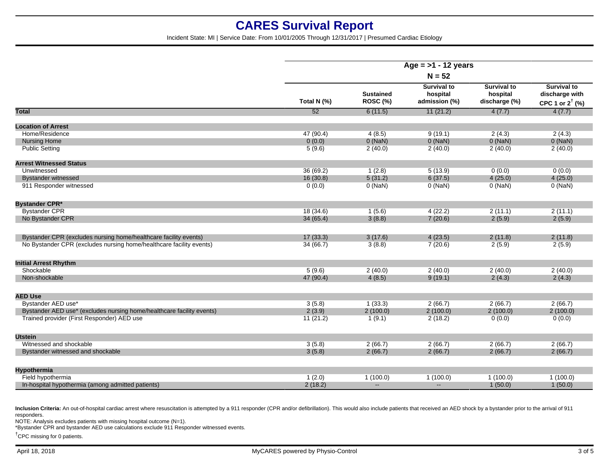Incident State: MI | Service Date: From 10/01/2005 Through 12/31/2017 | Presumed Cardiac Etiology

|                                                                       | Age = $>1$ - 12 years |                                     |                                                 |                                                 |                                                                    |  |
|-----------------------------------------------------------------------|-----------------------|-------------------------------------|-------------------------------------------------|-------------------------------------------------|--------------------------------------------------------------------|--|
|                                                                       | $N = 52$              |                                     |                                                 |                                                 |                                                                    |  |
|                                                                       | Total N (%)           | <b>Sustained</b><br><b>ROSC (%)</b> | <b>Survival to</b><br>hospital<br>admission (%) | <b>Survival to</b><br>hospital<br>discharge (%) | <b>Survival to</b><br>discharge with<br>CPC 1 or $2^{\dagger}$ (%) |  |
| <b>Total</b>                                                          | 52                    | 6(11.5)                             | 11(21.2)                                        | 4(7.7)                                          | 4(7.7)                                                             |  |
| <b>Location of Arrest</b>                                             |                       |                                     |                                                 |                                                 |                                                                    |  |
| Home/Residence                                                        | 47 (90.4)             | 4(8.5)                              | 9(19.1)                                         | 2(4.3)                                          | 2(4.3)                                                             |  |
| <b>Nursing Home</b>                                                   | 0(0.0)                | $0$ (NaN)                           | $0$ (NaN)                                       | $0$ (NaN)                                       | $0$ (NaN)                                                          |  |
| <b>Public Setting</b>                                                 | 5(9.6)                | 2(40.0)                             | 2(40.0)                                         | 2(40.0)                                         | 2(40.0)                                                            |  |
| <b>Arrest Witnessed Status</b>                                        |                       |                                     |                                                 |                                                 |                                                                    |  |
| Unwitnessed                                                           | 36 (69.2)             | 1(2.8)                              | 5(13.9)                                         | 0(0.0)                                          | 0(0.0)                                                             |  |
| <b>Bystander witnessed</b>                                            | 16(30.8)              | 5(31.2)                             | 6(37.5)                                         | 4(25.0)                                         | 4(25.0)                                                            |  |
| 911 Responder witnessed                                               | 0(0.0)                | $0$ (NaN)                           | $0$ (NaN)                                       | $0$ (NaN)                                       | $0$ (NaN)                                                          |  |
| <b>Bystander CPR*</b>                                                 |                       |                                     |                                                 |                                                 |                                                                    |  |
| <b>Bystander CPR</b>                                                  | 18(34.6)              | 1(5.6)                              | 4(22.2)                                         | 2(11.1)                                         | 2(11.1)                                                            |  |
| No Bystander CPR                                                      | 34(65.4)              | 3(8.8)                              | 7(20.6)                                         | 2(5.9)                                          | 2(5.9)                                                             |  |
| Bystander CPR (excludes nursing home/healthcare facility events)      | 17(33.3)              | 3(17.6)                             | 4(23.5)                                         | 2(11.8)                                         | 2(11.8)                                                            |  |
| No Bystander CPR (excludes nursing home/healthcare facility events)   | 34 (66.7)             | 3(8.8)                              | 7(20.6)                                         | 2(5.9)                                          | 2(5.9)                                                             |  |
| <b>Initial Arrest Rhythm</b>                                          |                       |                                     |                                                 |                                                 |                                                                    |  |
| Shockable                                                             | 5(9.6)                | 2(40.0)                             | 2(40.0)                                         | 2(40.0)                                         | 2(40.0)                                                            |  |
| Non-shockable                                                         | 47 (90.4)             | 4(8.5)                              | 9(19.1)                                         | 2(4.3)                                          | 2(4.3)                                                             |  |
| <b>AED Use</b>                                                        |                       |                                     |                                                 |                                                 |                                                                    |  |
| Bystander AED use*                                                    | 3(5.8)                | 1(33.3)                             | 2(66.7)                                         | 2(66.7)                                         | 2(66.7)                                                            |  |
| Bystander AED use* (excludes nursing home/healthcare facility events) | 2(3.9)                | 2(100.0)                            | 2(100.0)                                        | 2(100.0)                                        | 2(100.0)                                                           |  |
| Trained provider (First Responder) AED use                            | 11(21.2)              | 1(9.1)                              | 2(18.2)                                         | 0(0.0)                                          | 0(0.0)                                                             |  |
| <b>Utstein</b>                                                        |                       |                                     |                                                 |                                                 |                                                                    |  |
| Witnessed and shockable                                               | 3(5.8)                | 2(66.7)                             | 2(66.7)                                         | 2(66.7)                                         | 2(66.7)                                                            |  |
| Bystander witnessed and shockable                                     | 3(5.8)                | 2(66.7)                             | 2(66.7)                                         | 2(66.7)                                         | 2(66.7)                                                            |  |
| Hypothermia                                                           |                       |                                     |                                                 |                                                 |                                                                    |  |
| Field hypothermia                                                     | 1(2.0)                | 1(100.0)                            | 1(100.0)                                        | 1(100.0)                                        | 1(100.0)                                                           |  |
| In-hospital hypothermia (among admitted patients)                     | 2(18.2)               | $\overline{a}$                      | $-$                                             | 1(50.0)                                         | 1(50.0)                                                            |  |
|                                                                       |                       |                                     |                                                 |                                                 |                                                                    |  |

Inclusion Criteria: An out-of-hospital cardiac arrest where resuscitation is attempted by a 911 responder (CPR and/or defibrillation). This would also include patients that received an AED shock by a bystander prior to the responders.

NOTE: Analysis excludes patients with missing hospital outcome (N=1).

\*Bystander CPR and bystander AED use calculations exclude 911 Responder witnessed events.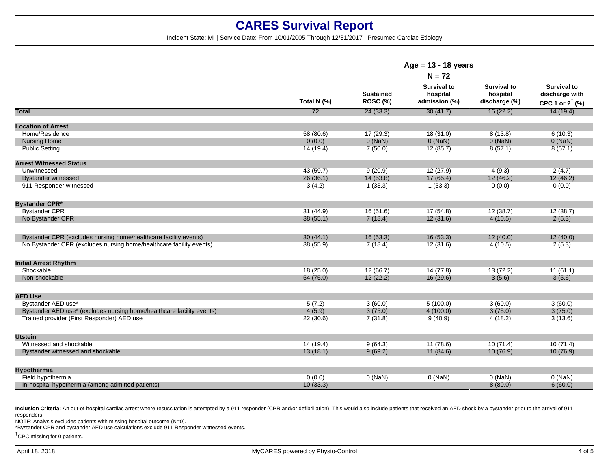Incident State: MI | Service Date: From 10/01/2005 Through 12/31/2017 | Presumed Cardiac Etiology

|                                                                       | Age = $13 - 18$ years<br>$N = 72$ |                              |                                                 |                                                 |                                                                    |  |
|-----------------------------------------------------------------------|-----------------------------------|------------------------------|-------------------------------------------------|-------------------------------------------------|--------------------------------------------------------------------|--|
|                                                                       |                                   |                              |                                                 |                                                 |                                                                    |  |
|                                                                       | Total N (%)                       | <b>Sustained</b><br>ROSC (%) | <b>Survival to</b><br>hospital<br>admission (%) | <b>Survival to</b><br>hospital<br>discharge (%) | <b>Survival to</b><br>discharge with<br>CPC 1 or $2^{\dagger}$ (%) |  |
| <b>Total</b>                                                          | $\overline{72}$                   | 24(33.3)                     | 30(41.7)                                        | 16(22.2)                                        | 14(19.4)                                                           |  |
| <b>Location of Arrest</b>                                             |                                   |                              |                                                 |                                                 |                                                                    |  |
| Home/Residence                                                        | 58 (80.6)                         | 17(29.3)                     | 18(31.0)                                        | 8(13.8)                                         | 6(10.3)                                                            |  |
| <b>Nursing Home</b>                                                   | 0(0.0)                            | $0$ (NaN)                    | $0$ (NaN)                                       | $0$ (NaN)                                       | $0$ (NaN)                                                          |  |
| <b>Public Setting</b>                                                 | 14 (19.4)                         | 7(50.0)                      | 12(85.7)                                        | 8(57.1)                                         | 8(57.1)                                                            |  |
| <b>Arrest Witnessed Status</b>                                        |                                   |                              |                                                 |                                                 |                                                                    |  |
| Unwitnessed                                                           | 43 (59.7)                         | 9(20.9)                      | 12(27.9)                                        | 4(9.3)                                          | 2(4.7)                                                             |  |
| <b>Bystander witnessed</b>                                            | 26(36.1)                          | 14 (53.8)                    | 17(65.4)                                        | 12(46.2)                                        | 12(46.2)                                                           |  |
| 911 Responder witnessed                                               | 3(4.2)                            | 1(33.3)                      | 1(33.3)                                         | 0(0.0)                                          | 0(0.0)                                                             |  |
| <b>Bystander CPR*</b>                                                 |                                   |                              |                                                 |                                                 |                                                                    |  |
| <b>Bystander CPR</b>                                                  | 31(44.9)                          | 16(51.6)                     | 17(54.8)                                        | 12(38.7)                                        | 12(38.7)                                                           |  |
| No Bystander CPR                                                      | 38(55.1)                          | 7(18.4)                      | 12(31.6)                                        | 4(10.5)                                         | 2(5.3)                                                             |  |
| Bystander CPR (excludes nursing home/healthcare facility events)      | 30(44.1)                          | 16(53.3)                     | 16(53.3)                                        | 12(40.0)                                        | 12(40.0)                                                           |  |
| No Bystander CPR (excludes nursing home/healthcare facility events)   | 38 (55.9)                         | 7(18.4)                      | 12(31.6)                                        | 4(10.5)                                         | 2(5.3)                                                             |  |
| <b>Initial Arrest Rhythm</b>                                          |                                   |                              |                                                 |                                                 |                                                                    |  |
| Shockable                                                             | 18(25.0)                          | 12(66.7)                     | 14(77.8)                                        | 13(72.2)                                        | 11(61.1)                                                           |  |
| Non-shockable                                                         | 54 (75.0)                         | 12(22.2)                     | 16(29.6)                                        | 3(5.6)                                          | 3(5.6)                                                             |  |
| <b>AED Use</b>                                                        |                                   |                              |                                                 |                                                 |                                                                    |  |
| Bystander AED use*                                                    | 5(7.2)                            | 3(60.0)                      | 5(100.0)                                        | 3(60.0)                                         | 3(60.0)                                                            |  |
| Bystander AED use* (excludes nursing home/healthcare facility events) | 4(5.9)                            | 3(75.0)                      | 4(100.0)                                        | 3(75.0)                                         | 3(75.0)                                                            |  |
| Trained provider (First Responder) AED use                            | 22(30.6)                          | 7(31.8)                      | 9(40.9)                                         | 4(18.2)                                         | 3(13.6)                                                            |  |
| <b>Utstein</b>                                                        |                                   |                              |                                                 |                                                 |                                                                    |  |
| Witnessed and shockable                                               | 14 (19.4)                         | 9(64.3)                      | 11 (78.6)                                       | 10(71.4)                                        | 10(71.4)                                                           |  |
| Bystander witnessed and shockable                                     | 13(18.1)                          | 9(69.2)                      | 11(84.6)                                        | 10(76.9)                                        | 10(76.9)                                                           |  |
| Hypothermia                                                           |                                   |                              |                                                 |                                                 |                                                                    |  |
| Field hypothermia                                                     | 0(0.0)                            | $0$ (NaN)                    | $0$ (NaN)                                       | $0$ (NaN)                                       | $0$ (NaN)                                                          |  |
| In-hospital hypothermia (among admitted patients)                     | 10(33.3)                          | $\mathbf{u}$                 | $\overline{\phantom{a}}$                        | 8(80.0)                                         | 6(60.0)                                                            |  |
|                                                                       |                                   |                              |                                                 |                                                 |                                                                    |  |

Inclusion Criteria: An out-of-hospital cardiac arrest where resuscitation is attempted by a 911 responder (CPR and/or defibrillation). This would also include patients that received an AED shock by a bystander prior to the responders.

NOTE: Analysis excludes patients with missing hospital outcome (N=0).

\*Bystander CPR and bystander AED use calculations exclude 911 Responder witnessed events.